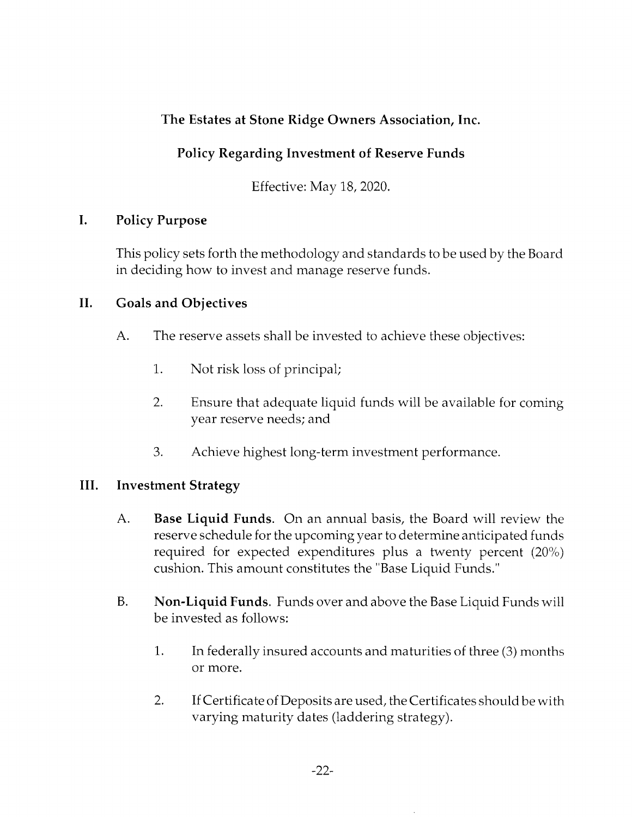# The Estates at Stone Ridge Owners Association, Inc.

# Policy Regarding Investment of Reserve Funds

Effective: May 18, 2020.

## I. Policy Purpose

This policy sets forth the methodoiogy and standards to be used by the Board in deciding how to invest and manage reserve funds.

### II. Goals and Objectives

- A. The reserve assets shall be invested to achieve these objectives:
	- 1. Not risk loss of principal;
	- 2. Ensure that adequate liquid funds will be available for coming year reserve needs; and
	- 3. Achieve highest long-term investment performance.

### III. Investment Strategy

- A. Base Liquid Funds. On an annual basis, the Board will review the reserve schedule for the upcoming year to determine anticipated funds required for expected expenditures plus a twenty percent  $(20\%)$ cushion. This amount constitutes the "Base Liquid Funds."
- B. Non-Liquid Funds. Funds over and above the Base Liquid Funds will be invested as follows:
	- 1. In federally insured accounts and maturities of three (3) months or more.
	- 2. If Certificate of Deposits are used, the Certificates should be with varying maturity dates (laddering strategy).